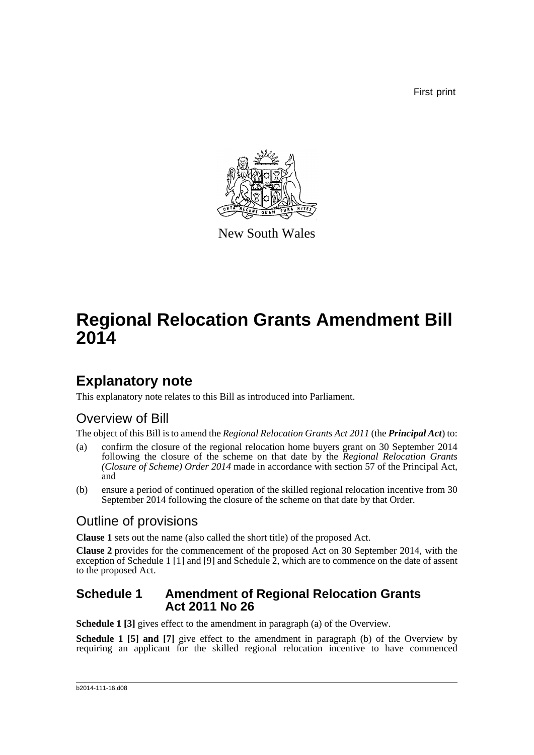First print



New South Wales

# **Regional Relocation Grants Amendment Bill 2014**

# **Explanatory note**

This explanatory note relates to this Bill as introduced into Parliament.

## Overview of Bill

The object of this Bill is to amend the *Regional Relocation Grants Act 2011* (the *Principal Act*) to:

- (a) confirm the closure of the regional relocation home buyers grant on 30 September 2014 following the closure of the scheme on that date by the *Regional Relocation Grants (Closure of Scheme) Order 2014* made in accordance with section 57 of the Principal Act, and
- (b) ensure a period of continued operation of the skilled regional relocation incentive from 30 September 2014 following the closure of the scheme on that date by that Order.

## Outline of provisions

**Clause 1** sets out the name (also called the short title) of the proposed Act.

**Clause 2** provides for the commencement of the proposed Act on 30 September 2014, with the exception of Schedule 1 [1] and [9] and Schedule 2, which are to commence on the date of assent to the proposed Act.

### **Schedule 1 Amendment of Regional Relocation Grants Act 2011 No 26**

**Schedule 1 [3]** gives effect to the amendment in paragraph (a) of the Overview.

**Schedule 1 [5] and [7]** give effect to the amendment in paragraph (b) of the Overview by requiring an applicant for the skilled regional relocation incentive to have commenced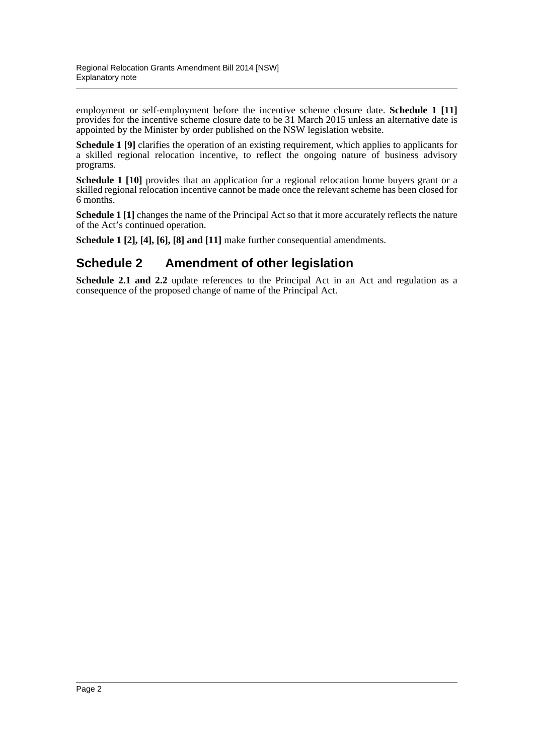employment or self-employment before the incentive scheme closure date. **Schedule 1 [11]** provides for the incentive scheme closure date to be 31 March 2015 unless an alternative date is appointed by the Minister by order published on the NSW legislation website.

**Schedule 1 [9]** clarifies the operation of an existing requirement, which applies to applicants for a skilled regional relocation incentive, to reflect the ongoing nature of business advisory programs.

**Schedule 1 [10]** provides that an application for a regional relocation home buyers grant or a skilled regional relocation incentive cannot be made once the relevant scheme has been closed for 6 months.

**Schedule 1** [1] changes the name of the Principal Act so that it more accurately reflects the nature of the Act's continued operation.

**Schedule 1 [2], [4], [6], [8] and [11]** make further consequential amendments.

### **Schedule 2 Amendment of other legislation**

**Schedule 2.1 and 2.2** update references to the Principal Act in an Act and regulation as a consequence of the proposed change of name of the Principal Act.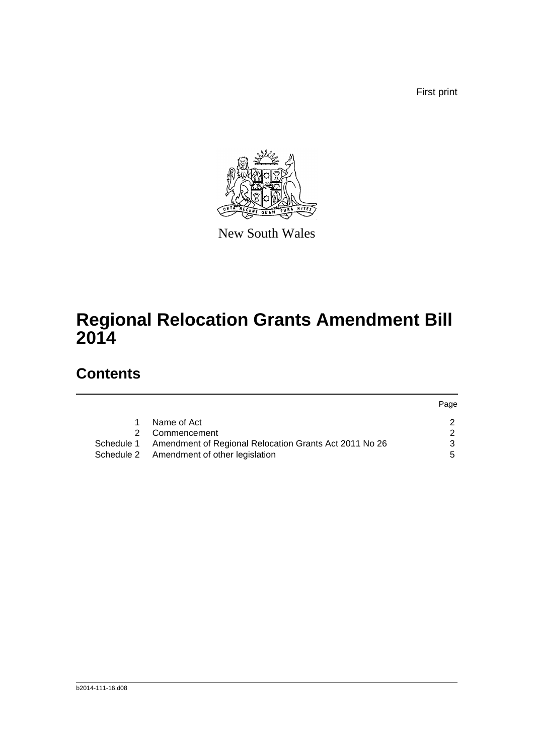First print



New South Wales

# **Regional Relocation Grants Amendment Bill 2014**

## **Contents**

|   |                                                                   | Page |
|---|-------------------------------------------------------------------|------|
|   | Name of Act                                                       |      |
| 2 | Commencement                                                      |      |
|   | Schedule 1 Amendment of Regional Relocation Grants Act 2011 No 26 | 2    |
|   | Schedule 2 Amendment of other legislation                         | ٠h   |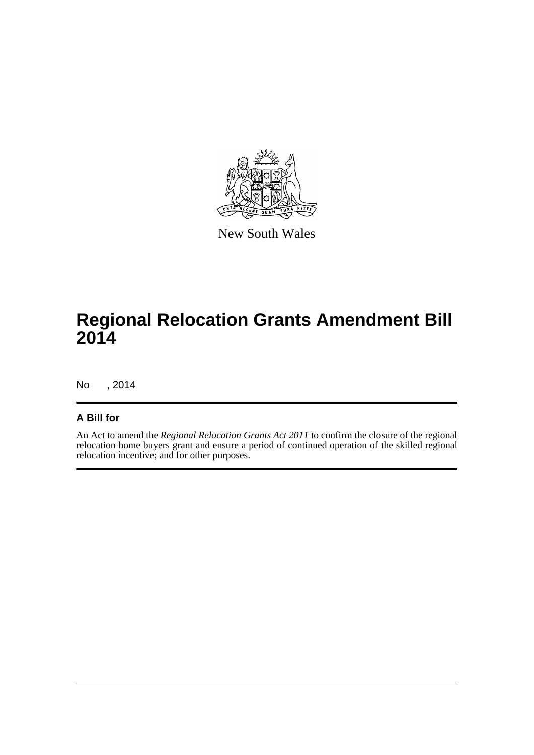

New South Wales

# **Regional Relocation Grants Amendment Bill 2014**

No , 2014

#### **A Bill for**

An Act to amend the *Regional Relocation Grants Act 2011* to confirm the closure of the regional relocation home buyers grant and ensure a period of continued operation of the skilled regional relocation incentive; and for other purposes.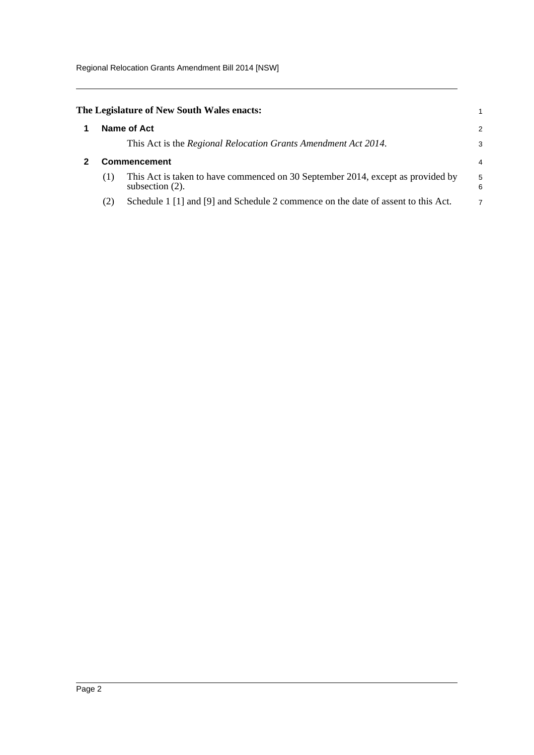Regional Relocation Grants Amendment Bill 2014 [NSW]

<span id="page-4-1"></span><span id="page-4-0"></span>

|                     |     | The Legislature of New South Wales enacts:                                                            |                |
|---------------------|-----|-------------------------------------------------------------------------------------------------------|----------------|
|                     |     | Name of Act                                                                                           | $\mathcal{P}$  |
|                     |     | This Act is the Regional Relocation Grants Amendment Act 2014.                                        | 3              |
| <b>Commencement</b> |     |                                                                                                       | 4              |
|                     | (1) | This Act is taken to have commenced on 30 September 2014, except as provided by<br>subsection $(2)$ . | 5<br>6         |
|                     | (2) | Schedule 1 [1] and [9] and Schedule 2 commence on the date of assent to this Act.                     | $\overline{7}$ |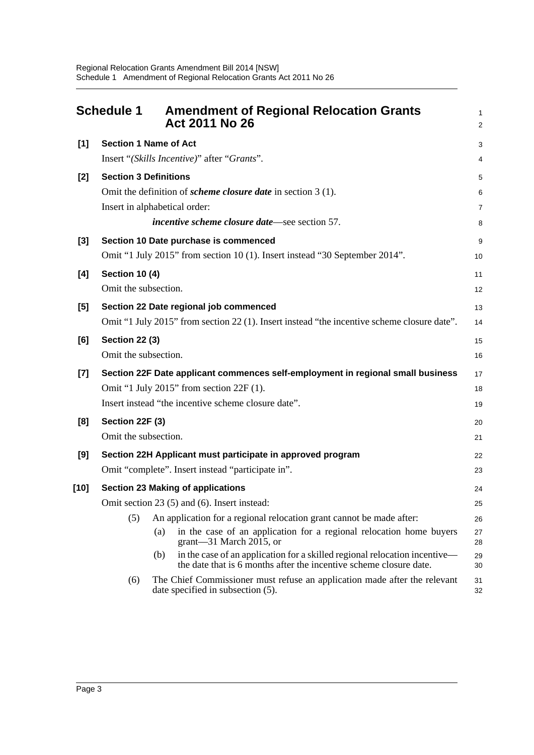<span id="page-5-0"></span>

|        | <b>Schedule 1</b>     | <b>Amendment of Regional Relocation Grants</b><br>Act 2011 No 26                                                                                        | 1<br>$\overline{\mathbf{c}}$ |
|--------|-----------------------|---------------------------------------------------------------------------------------------------------------------------------------------------------|------------------------------|
| [1]    |                       | <b>Section 1 Name of Act</b>                                                                                                                            | 3                            |
|        |                       | Insert "(Skills Incentive)" after "Grants".                                                                                                             | 4                            |
| $[2]$  |                       | <b>Section 3 Definitions</b>                                                                                                                            | 5                            |
|        |                       | Omit the definition of <i>scheme closure date</i> in section $3(1)$ .                                                                                   | 6                            |
|        |                       | Insert in alphabetical order:                                                                                                                           | 7                            |
|        |                       | <i>incentive scheme closure date</i> —see section 57.                                                                                                   | 8                            |
| $[3]$  |                       | Section 10 Date purchase is commenced                                                                                                                   | 9                            |
|        |                       | Omit "1 July 2015" from section 10 (1). Insert instead "30 September 2014".                                                                             | 10                           |
| [4]    | <b>Section 10 (4)</b> |                                                                                                                                                         | 11                           |
|        | Omit the subsection.  |                                                                                                                                                         | 12                           |
| [5]    |                       | Section 22 Date regional job commenced                                                                                                                  | 13                           |
|        |                       | Omit "1 July 2015" from section 22 (1). Insert instead "the incentive scheme closure date".                                                             | 14                           |
| [6]    | <b>Section 22 (3)</b> |                                                                                                                                                         | 15                           |
|        | Omit the subsection.  |                                                                                                                                                         | 16                           |
| $[7]$  |                       | Section 22F Date applicant commences self-employment in regional small business                                                                         | 17                           |
|        |                       | Omit "1 July 2015" from section 22F (1).                                                                                                                | 18                           |
|        |                       | Insert instead "the incentive scheme closure date".                                                                                                     | 19                           |
| [8]    | Section 22F (3)       |                                                                                                                                                         | 20                           |
|        | Omit the subsection.  |                                                                                                                                                         | 21                           |
| [9]    |                       | Section 22H Applicant must participate in approved program                                                                                              | 22                           |
|        |                       | Omit "complete". Insert instead "participate in".                                                                                                       | 23                           |
| $[10]$ |                       | <b>Section 23 Making of applications</b>                                                                                                                | 24                           |
|        |                       | Omit section 23 (5) and (6). Insert instead:                                                                                                            | 25                           |
|        | (5)                   | An application for a regional relocation grant cannot be made after:                                                                                    | 26                           |
|        |                       | in the case of an application for a regional relocation home buyers<br>(a)<br>$grant$ —31 March 2015, or                                                | 27<br>28                     |
|        |                       | in the case of an application for a skilled regional relocation incentive—<br>(b)<br>the date that is 6 months after the incentive scheme closure date. | 29<br>30                     |
|        | (6)                   | The Chief Commissioner must refuse an application made after the relevant<br>date specified in subsection (5).                                          | 31<br>32                     |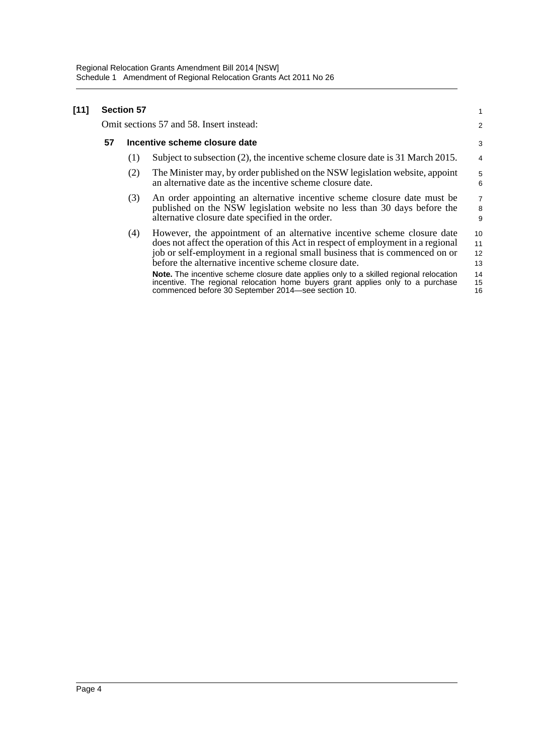#### **[11] Section 57**

Omit sections 57 and 58. Insert instead:

#### **57 Incentive scheme closure date**

(1) Subject to subsection (2), the incentive scheme closure date is 31 March 2015.

1  $\overline{2}$ 

- (2) The Minister may, by order published on the NSW legislation website, appoint an alternative date as the incentive scheme closure date.
- (3) An order appointing an alternative incentive scheme closure date must be published on the NSW legislation website no less than 30 days before the alternative closure date specified in the order.
- (4) However, the appointment of an alternative incentive scheme closure date does not affect the operation of this Act in respect of employment in a regional job or self-employment in a regional small business that is commenced on or before the alternative incentive scheme closure date. 10 11 12 13

**Note.** The incentive scheme closure date applies only to a skilled regional relocation incentive. The regional relocation home buyers grant applies only to a purchase commenced before 30 September 2014—see section 10. 14 15 16